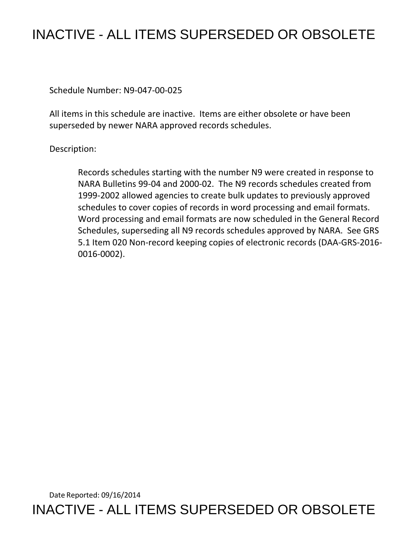## INACTIVE - ALL ITEMS SUPERSEDED OR OBSOLETE

Schedule Number: N9-047-00-025

All items in this schedule are inactive. Items are either obsolete or have been superseded by newer NARA approved records schedules.

Description:

Records schedules starting with the number N9 were created in response to NARA Bulletins 99-04 and 2000-02. The N9 records schedules created from 1999-2002 allowed agencies to create bulk updates to previously approved schedules to cover copies of records in word processing and email formats. Word processing and email formats are now scheduled in the General Record Schedules, superseding all N9 records schedules approved by NARA. See GRS 5.1 Item 020 Non-record keeping copies of electronic records (DAA-GRS-2016- 0016-0002).

Date Reported: 09/16/2014 INACTIVE - ALL ITEMS SUPERSEDED OR OBSOLETE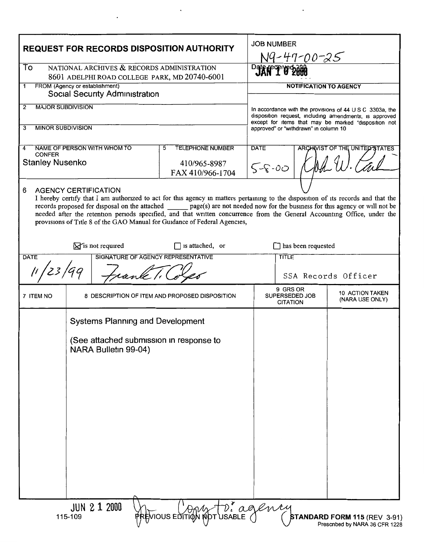|                                                                                                                                                                                                                                                                                                                                                                                                                                                                                                            | <b>REQUEST FOR RECORDS DISPOSITION AUTHORITY</b> | <b>JOB NUMBER</b><br>N9-47-00-25               |                                                                                                                                                                                                                          |                                    |
|------------------------------------------------------------------------------------------------------------------------------------------------------------------------------------------------------------------------------------------------------------------------------------------------------------------------------------------------------------------------------------------------------------------------------------------------------------------------------------------------------------|--------------------------------------------------|------------------------------------------------|--------------------------------------------------------------------------------------------------------------------------------------------------------------------------------------------------------------------------|------------------------------------|
| To<br>NATIONAL ARCHIVES & RECORDS ADMINISTRATION<br>8601 ADELPHI ROAD COLLEGE PARK, MD 20740-6001                                                                                                                                                                                                                                                                                                                                                                                                          |                                                  |                                                | Date receive 2008                                                                                                                                                                                                        |                                    |
| FROM (Agency or establishment)<br>1<br>Social Security Administration                                                                                                                                                                                                                                                                                                                                                                                                                                      |                                                  |                                                | <b>NOTIFICATION TO AGENCY</b>                                                                                                                                                                                            |                                    |
| <b>MAJOR SUBDIVISION</b><br>2                                                                                                                                                                                                                                                                                                                                                                                                                                                                              |                                                  |                                                | In accordance with the provisions of 44 $\cup$ S C 3303a, the<br>disposition request, including amendments, is approved<br>except for items that may be marked "disposition not<br>approved" or "withdrawn" in column 10 |                                    |
| <b>MINOR SUBDIVISION</b><br>3                                                                                                                                                                                                                                                                                                                                                                                                                                                                              |                                                  |                                                |                                                                                                                                                                                                                          |                                    |
|                                                                                                                                                                                                                                                                                                                                                                                                                                                                                                            |                                                  |                                                |                                                                                                                                                                                                                          |                                    |
| <b>TELEPHONE NUMBER</b><br>NAME OF PERSON WITH WHOM TO<br>5<br>4<br><b>CONFER</b>                                                                                                                                                                                                                                                                                                                                                                                                                          |                                                  |                                                | <b>DATE</b><br><b>ARCHIVIST OF THE UNITED STATES</b>                                                                                                                                                                     |                                    |
| <b>Stanley Nusenko</b>                                                                                                                                                                                                                                                                                                                                                                                                                                                                                     |                                                  | 410/965-8987<br>FAX 410/966-1704               | $5 - 8 - 00$                                                                                                                                                                                                             |                                    |
| <b>AGENCY CERTIFICATION</b><br>6<br>I hereby certify that I am authorized to act for this agency in matters pertaining to the disposition of its records and that the<br>records proposed for disposal on the attached page(s) are not needed now for the business for this agency or will not be<br>needed after the retention periods specified, and that written concurrence from the General Accounting Office, under the<br>provisions of Title 8 of the GAO Manual for Guidance of Federal Agencies, |                                                  |                                                |                                                                                                                                                                                                                          |                                    |
| $\boxtimes$ is not required<br>$\Box$ is attached, or<br><b>SIGNATURE OF AGENCY REPRESENTATIVE</b><br><b>DATE</b>                                                                                                                                                                                                                                                                                                                                                                                          |                                                  |                                                | $\Box$ has been requested<br><b>TITLE</b>                                                                                                                                                                                |                                    |
|                                                                                                                                                                                                                                                                                                                                                                                                                                                                                                            |                                                  |                                                |                                                                                                                                                                                                                          |                                    |
|                                                                                                                                                                                                                                                                                                                                                                                                                                                                                                            |                                                  |                                                | SSA Records Officer                                                                                                                                                                                                      |                                    |
| 7 ITEM NO                                                                                                                                                                                                                                                                                                                                                                                                                                                                                                  |                                                  | 8 DESCRIPTION OF ITEM AND PROPOSED DISPOSITION | 9 GRS OR<br>SUPERSEDED JOB<br><b>CITATION</b>                                                                                                                                                                            | 10 ACTION TAKEN<br>(NARA USE ONLY) |
|                                                                                                                                                                                                                                                                                                                                                                                                                                                                                                            | <b>Systems Planning and Development</b>          |                                                |                                                                                                                                                                                                                          |                                    |
|                                                                                                                                                                                                                                                                                                                                                                                                                                                                                                            | NARA Bulletin 99-04)<br>JUN 2 1 2000             | (See attached submission in response to        | Di agency                                                                                                                                                                                                                |                                    |
| PREVIOUS EDITION NOT USABLE<br>STANDARD FORM 115 (REV 3-91<br>115-109<br>Procephed by NAPA 36 CED 1221                                                                                                                                                                                                                                                                                                                                                                                                     |                                                  |                                                |                                                                                                                                                                                                                          |                                    |